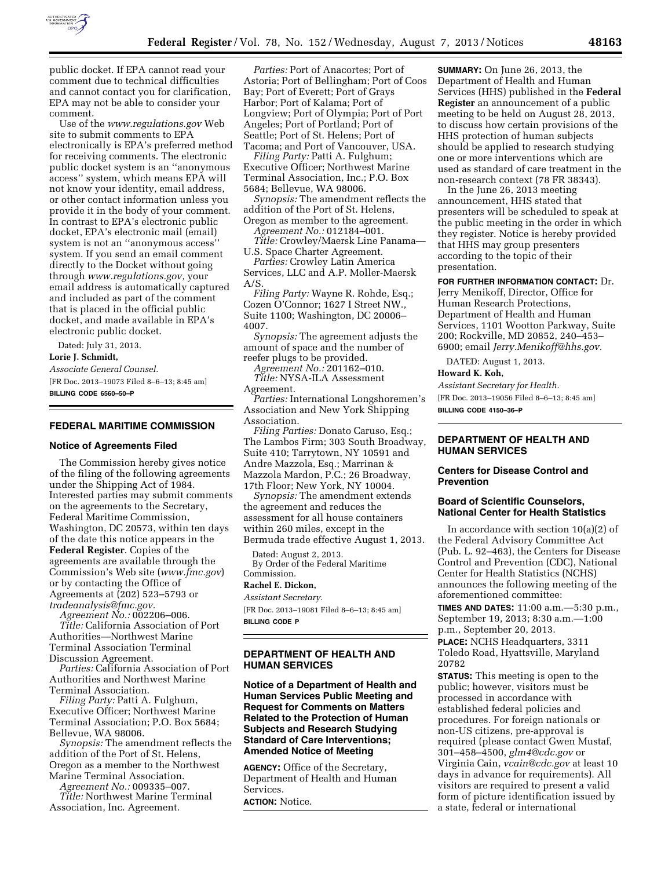

public docket. If EPA cannot read your comment due to technical difficulties and cannot contact you for clarification, EPA may not be able to consider your comment.

Use of the *www.regulations.gov* Web site to submit comments to EPA electronically is EPA's preferred method for receiving comments. The electronic public docket system is an ''anonymous access'' system, which means EPA will not know your identity, email address, or other contact information unless you provide it in the body of your comment. In contrast to EPA's electronic public docket, EPA's electronic mail (email) system is not an ''anonymous access'' system. If you send an email comment directly to the Docket without going through *www.regulations.gov,* your email address is automatically captured and included as part of the comment that is placed in the official public docket, and made available in EPA's electronic public docket.

Dated: July 31, 2013. **Lorie J. Schmidt,**  *Associate General Counsel.* 

[FR Doc. 2013–19073 Filed 8–6–13; 8:45 am] **BILLING CODE 6560–50–P** 

### **FEDERAL MARITIME COMMISSION**

#### **Notice of Agreements Filed**

The Commission hereby gives notice of the filing of the following agreements under the Shipping Act of 1984. Interested parties may submit comments on the agreements to the Secretary, Federal Maritime Commission, Washington, DC 20573, within ten days of the date this notice appears in the **Federal Register**. Copies of the agreements are available through the Commission's Web site (*www.fmc.gov*) or by contacting the Office of Agreements at (202) 523–5793 or *tradeanalysis@fmc.gov.* 

*Agreement No.:* 002206–006. *Title:* California Association of Port Authorities—Northwest Marine Terminal Association Terminal Discussion Agreement.

*Parties:* California Association of Port Authorities and Northwest Marine Terminal Association.

*Filing Party:* Patti A. Fulghum, Executive Officer; Northwest Marine Terminal Association; P.O. Box 5684; Bellevue, WA 98006.

*Synopsis:* The amendment reflects the addition of the Port of St. Helens, Oregon as a member to the Northwest Marine Terminal Association.

*Agreement No.:* 009335–007.

*Title:* Northwest Marine Terminal Association, Inc. Agreement.

*Parties:* Port of Anacortes; Port of Astoria; Port of Bellingham; Port of Coos Bay; Port of Everett; Port of Grays Harbor; Port of Kalama; Port of Longview; Port of Olympia; Port of Port Angeles; Port of Portland; Port of Seattle; Port of St. Helens; Port of Tacoma; and Port of Vancouver, USA.

*Filing Party:* Patti A. Fulghum; Executive Officer; Northwest Marine Terminal Association, Inc.; P.O. Box 5684; Bellevue, WA 98006.

*Synopsis:* The amendment reflects the addition of the Port of St. Helens, Oregon as member to the agreement.

*Agreement No.:* 012184–001.

*Title:* Crowley/Maersk Line Panama— U.S. Space Charter Agreement.

*Parties:* Crowley Latin America Services, LLC and A.P. Moller-Maersk A/S.

*Filing Party:* Wayne R. Rohde, Esq.; Cozen O'Connor; 1627 I Street NW., Suite 1100; Washington, DC 20006– 4007.

*Synopsis:* The agreement adjusts the amount of space and the number of reefer plugs to be provided.

*Agreement No.:* 201162–010. *Title:* NYSA-ILA Assessment

Agreement.

*Parties:* International Longshoremen's Association and New York Shipping Association.

*Filing Parties:* Donato Caruso, Esq.; The Lambos Firm; 303 South Broadway, Suite 410; Tarrytown, NY 10591 and Andre Mazzola, Esq.; Marrinan & Mazzola Mardon, P.C.; 26 Broadway, 17th Floor; New York, NY 10004.

*Synopsis:* The amendment extends the agreement and reduces the assessment for all house containers within 260 miles, except in the Bermuda trade effective August 1, 2013.

Dated: August 2, 2013. By Order of the Federal Maritime Commission.

### **Rachel E. Dickon,**

*Assistant Secretary.*  [FR Doc. 2013–19081 Filed 8–6–13; 8:45 am]

**BILLING CODE P** 

## **DEPARTMENT OF HEALTH AND HUMAN SERVICES**

**Notice of a Department of Health and Human Services Public Meeting and Request for Comments on Matters Related to the Protection of Human Subjects and Research Studying Standard of Care Interventions; Amended Notice of Meeting** 

**AGENCY:** Office of the Secretary, Department of Health and Human Services.

**ACTION:** Notice.

**SUMMARY:** On June 26, 2013, the Department of Health and Human Services (HHS) published in the **Federal Register** an announcement of a public meeting to be held on August 28, 2013, to discuss how certain provisions of the HHS protection of human subjects should be applied to research studying one or more interventions which are used as standard of care treatment in the non-research context (78 FR 38343).

In the June 26, 2013 meeting announcement, HHS stated that presenters will be scheduled to speak at the public meeting in the order in which they register. Notice is hereby provided that HHS may group presenters according to the topic of their presentation.

**FOR FURTHER INFORMATION CONTACT:** Dr.

Jerry Menikoff, Director, Office for Human Research Protections, Department of Health and Human Services, 1101 Wootton Parkway, Suite 200; Rockville, MD 20852, 240–453– 6900; email *Jerry.Menikoff@hhs.gov.* 

DATED: August 1, 2013.

## **Howard K. Koh,**

*Assistant Secretary for Health.*  [FR Doc. 2013–19056 Filed 8–6–13; 8:45 am] **BILLING CODE 4150–36–P** 

## **DEPARTMENT OF HEALTH AND HUMAN SERVICES**

## **Centers for Disease Control and Prevention**

## **Board of Scientific Counselors, National Center for Health Statistics**

In accordance with section 10(a)(2) of the Federal Advisory Committee Act (Pub. L. 92–463), the Centers for Disease Control and Prevention (CDC), National Center for Health Statistics (NCHS) announces the following meeting of the aforementioned committee:

**TIMES AND DATES:** 11:00 a.m.—5:30 p.m., September 19, 2013; 8:30 a.m.—1:00 p.m., September 20, 2013. **PLACE:** NCHS Headquarters, 3311

Toledo Road, Hyattsville, Maryland 20782

**STATUS:** This meeting is open to the public; however, visitors must be processed in accordance with established federal policies and procedures. For foreign nationals or non-US citizens, pre-approval is required (please contact Gwen Mustaf, 301–458–4500, *glm4@cdc.gov* or Virginia Cain, *vcain@cdc.gov* at least 10 days in advance for requirements). All visitors are required to present a valid form of picture identification issued by a state, federal or international